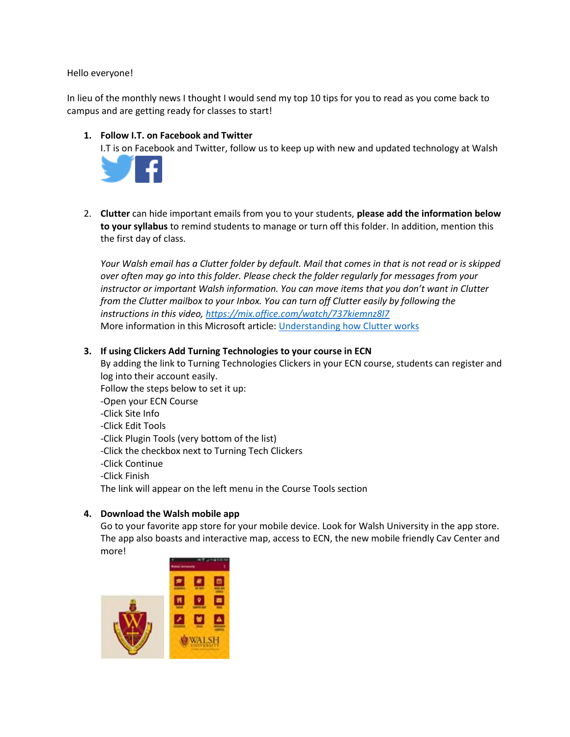#### Hello everyone!

In lieu of the monthly news I thought I would send my top 10 tips for you to read as you come back to campus and are getting ready for classes to start!

## **1. Follow I.T. on Facebook and Twitter**

I.T is on Facebook and Twitter, follow us to keep up with new and updated technology at Walsh



2. **Clutter** can hide important emails from you to your students, **please add the information below to your syllabus** to remind students to manage or turn off this folder. In addition, mention this the first day of class.

*Your Walsh email has a Clutter folder by default. Mail that comes in that is not read or is skipped over often may go into this folder. Please check the folder regularly for messages from your instructor or important Walsh information. You can move items that you don't want in Clutter from the Clutter mailbox to your Inbox. You can turn off Clutter easily by following the instructions in this video,<https://mix.office.com/watch/737kiemnz8l7>* More information in this Microsoft article: [Understanding how Clutter works](https://support.office.com/en-us/article/Use-Clutter-to-sort-low-priority-messages-in-Outlook-7b50c5db-7704-4e55-8a1b-dfc7bf1eafa0?ui=en-US&rs=en-US&ad=US)

## **3. If using Clickers Add Turning Technologies to your course in ECN**

By adding the link to Turning Technologies Clickers in your ECN course, students can register and log into their account easily.

Follow the steps below to set it up:

- -Open your ECN Course
- -Click Site Info
- -Click Edit Tools
- -Click Plugin Tools (very bottom of the list)
- -Click the checkbox next to Turning Tech Clickers
- -Click Continue
- -Click Finish

The link will appear on the left menu in the Course Tools section

### **4. Download the Walsh mobile app**

Go to your favorite app store for your mobile device. Look for Walsh University in the app store. The app also boasts and interactive map, access to ECN, the new mobile friendly Cav Center and more!

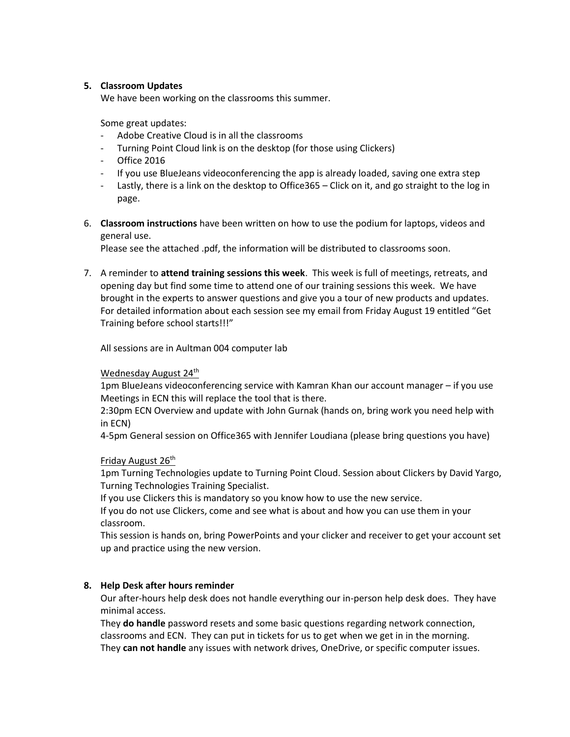### **5. Classroom Updates**

We have been working on the classrooms this summer.

Some great updates:

- Adobe Creative Cloud is in all the classrooms
- Turning Point Cloud link is on the desktop (for those using Clickers)
- Office 2016
- If you use BlueJeans videoconferencing the app is already loaded, saving one extra step
- Lastly, there is a link on the desktop to Office365 Click on it, and go straight to the log in page.
- 6. **Classroom instructions** have been written on how to use the podium for laptops, videos and general use.

Please see the attached .pdf, the information will be distributed to classrooms soon.

7. A reminder to **attend training sessions this week**. This week is full of meetings, retreats, and opening day but find some time to attend one of our training sessions this week. We have brought in the experts to answer questions and give you a tour of new products and updates. For detailed information about each session see my email from Friday August 19 entitled "Get Training before school starts!!!"

All sessions are in Aultman 004 computer lab

Wednesday August 24<sup>th</sup>

1pm BlueJeans videoconferencing service with Kamran Khan our account manager – if you use Meetings in ECN this will replace the tool that is there.

2:30pm ECN Overview and update with John Gurnak (hands on, bring work you need help with in ECN)

4-5pm General session on Office365 with Jennifer Loudiana (please bring questions you have)

Friday August 26<sup>th</sup>

1pm Turning Technologies update to Turning Point Cloud. Session about Clickers by David Yargo, Turning Technologies Training Specialist.

If you use Clickers this is mandatory so you know how to use the new service.

If you do not use Clickers, come and see what is about and how you can use them in your classroom.

This session is hands on, bring PowerPoints and your clicker and receiver to get your account set up and practice using the new version.

# **8. Help Desk after hours reminder**

Our after-hours help desk does not handle everything our in-person help desk does. They have minimal access.

They **do handle** password resets and some basic questions regarding network connection, classrooms and ECN. They can put in tickets for us to get when we get in in the morning. They **can not handle** any issues with network drives, OneDrive, or specific computer issues.